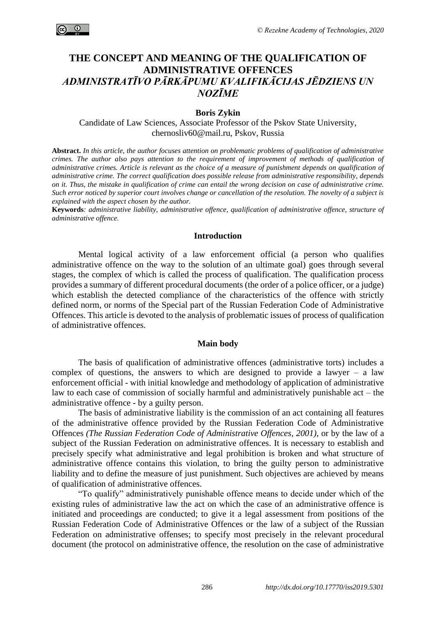

# **THE CONCEPT AND MEANING OF THE QUALIFICATION OF ADMINISTRATIVE OFFENCES** *ADMINISTRATĪVO PĀRKĀPUMU KVALIFIKĀCIJAS JĒDZIENS UN NOZĪME*

**Boris Zykin** 

Candidate of Law Sciences, Associate Professor of the Pskov State University, chernosliv60@mail.ru, Pskov, Russia

**Abstract.** *In this article, the author focuses attention on problematic problems of qualification of administrative crimes. The author also pays attention to the requirement of improvement of methods of qualification of administrative crimes. Article is relevant as the choice of a measure of punishment depends on qualification of administrative crime. The correct qualification does possible release from administrative responsibility, depends on it. Thus, the mistake in qualification of crime can entail the wrong decision on case of administrative crime. Such error noticed by superior court involves change or cancellation of the resolution. The novelty of a subject is explained with the aspect chosen by the author.*

**Keywords***: administrative liability, administrative offence, qualification of administrative offence, structure of administrative offence.*

# **Introduction**

Mental logical activity of a law enforcement official (a person who qualifies administrative offence on the way to the solution of an ultimate goal) goes through several stages, the complex of which is called the process of qualification. The qualification process provides a summary of different procedural documents (the order of a police officer, or a judge) which establish the detected compliance of the characteristics of the offence with strictly defined norm, or norms of the Special part of the Russian Federation Code of Administrative Offences. This article is devoted to the analysis of problematic issues of process of qualification of administrative offences.

## **Main body**

The basis of qualification of administrative offences (administrative torts) includes a complex of questions, the answers to which are designed to provide a lawyer – a law enforcement official - with initial knowledge and methodology of application of administrative law to each case of commission of socially harmful and administratively punishable act – the administrative offence - by a guilty person.

The basis of administrative liability is the commission of an act containing all features of the administrative offence provided by the Russian Federation Code of Administrative Offences *(The Russian Federation Code of Administrative Offences, 2001)*, or by the law of a subject of the Russian Federation on administrative offences. It is necessary to establish and precisely specify what administrative and legal prohibition is broken and what structure of administrative offence contains this violation, to bring the guilty person to administrative liability and to define the measure of just punishment. Such objectives are achieved by means of qualification of administrative offences.

"To qualify" administratively punishable offence means to decide under which of the existing rules of administrative law the act on which the case of an administrative offence is initiated and proceedings are conducted; to give it a legal assessment from positions of the Russian Federation Code of Administrative Offences or the law of a subject of the Russian Federation on administrative offenses; to specify most precisely in the relevant procedural document (the protocol on administrative offence, the resolution on the case of administrative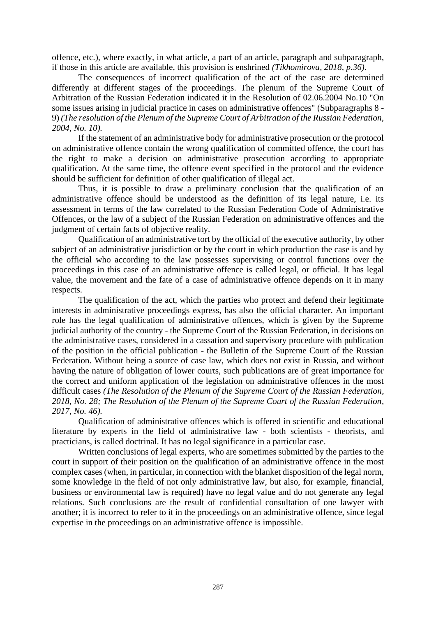offence, etc.), where exactly, in what article, a part of an article, paragraph and subparagraph, if those in this article are available, this provision is enshrined *(Tikhomirova, 2018, p.36).*

The consequences of incorrect qualification of the act of the case are determined differently at different stages of the proceedings. The plenum of the Supreme Court of Arbitration of the Russian Federation indicated it in the Resolution of 02.06.2004 No.10 "On some issues arising in judicial practice in cases on administrative offences" (Subparagraphs 8 - 9) *(The resolution of the Plenum of the Supreme Court of Arbitration of the Russian Federation, 2004, No. 10).*

If the statement of an administrative body for administrative prosecution or the protocol on administrative offence contain the wrong qualification of committed offence, the court has the right to make a decision on administrative prosecution according to appropriate qualification. At the same time, the offence event specified in the protocol and the evidence should be sufficient for definition of other qualification of illegal act.

Thus, it is possible to draw a preliminary conclusion that the qualification of an administrative offence should be understood as the definition of its legal nature, i.e. its assessment in terms of the law correlated to the Russian Federation Code of Administrative Offences, or the law of a subject of the Russian Federation on administrative offences and the judgment of certain facts of objective reality.

Qualification of an administrative tort by the official of the executive authority, by other subject of an administrative jurisdiction or by the court in which production the case is and by the official who according to the law possesses supervising or control functions over the proceedings in this case of an administrative offence is called legal, or official. It has legal value, the movement and the fate of a case of administrative offence depends on it in many respects.

The qualification of the act, which the parties who protect and defend their legitimate interests in administrative proceedings express, has also the official character. An important role has the legal qualification of administrative offences, which is given by the Supreme judicial authority of the country - the Supreme Court of the Russian Federation, in decisions on the administrative cases, considered in a cassation and supervisory procedure with publication of the position in the official publication - the Bulletin of the Supreme Court of the Russian Federation. Without being a source of case law, which does not exist in Russia, and without having the nature of obligation of lower courts, such publications are of great importance for the correct and uniform application of the legislation on administrative offences in the most difficult cases *(The Resolution of the Plenum of the Supreme Court of the Russian Federation, 2018, No. 28; The Resolution of the Plenum of the Supreme Court of the Russian Federation, 2017, No. 46).*

Qualification of administrative offences which is offered in scientific and educational literature by experts in the field of administrative law - both scientists - theorists, and practicians, is called doctrinal. It has no legal significance in a particular case.

Written conclusions of legal experts, who are sometimes submitted by the parties to the court in support of their position on the qualification of an administrative offence in the most complex cases (when, in particular, in connection with the blanket disposition of the legal norm, some knowledge in the field of not only administrative law, but also, for example, financial, business or environmental law is required) have no legal value and do not generate any legal relations. Such conclusions are the result of confidential consultation of one lawyer with another; it is incorrect to refer to it in the proceedings on an administrative offence, since legal expertise in the proceedings on an administrative offence is impossible.